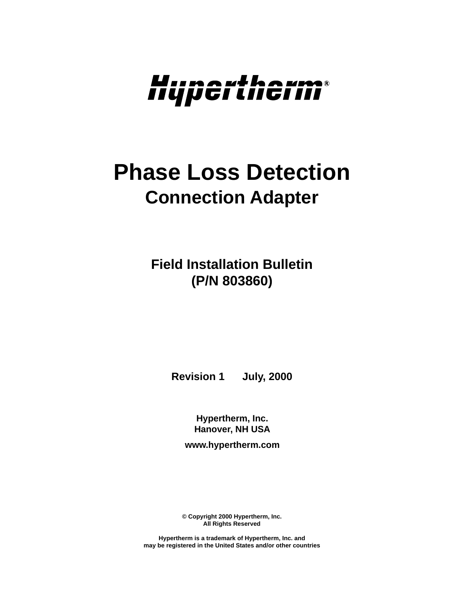

# **Phase Loss Detection Connection Adapter**

**Field Installation Bulletin (P/N 803860)**

**Revision 1 July, 2000**

**Hypertherm, Inc. Hanover, NH USA**

**www.hypertherm.com**

**© Copyright 2000 Hypertherm, Inc. All Rights Reserved**

**Hypertherm is a trademark of Hypertherm, Inc. and may be registered in the United States and/or other countries**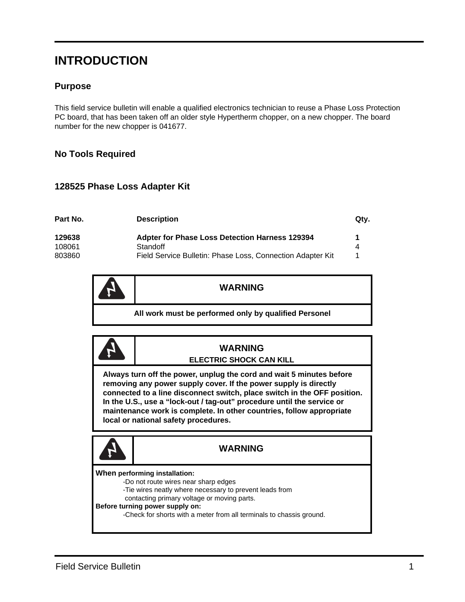## **INTRODUCTION**

#### **Purpose**

This field service bulletin will enable a qualified electronics technician to reuse a Phase Loss Protection PC board, that has been taken off an older style Hypertherm chopper, on a new chopper. The board number for the new chopper is 041677.

#### **No Tools Required**

#### **128525 Phase Loss Adapter Kit**

| Part No. | <b>Description</b>                                         | Qtv. |
|----------|------------------------------------------------------------|------|
| 129638   | <b>Adpter for Phase Loss Detection Harness 129394</b>      | 1    |
| 108061   | Standoff                                                   | 4    |
| 803860   | Field Service Bulletin: Phase Loss, Connection Adapter Kit |      |

|                                                       | <b>WARNING</b> |
|-------------------------------------------------------|----------------|
| All work must be performed only by qualified Personel |                |